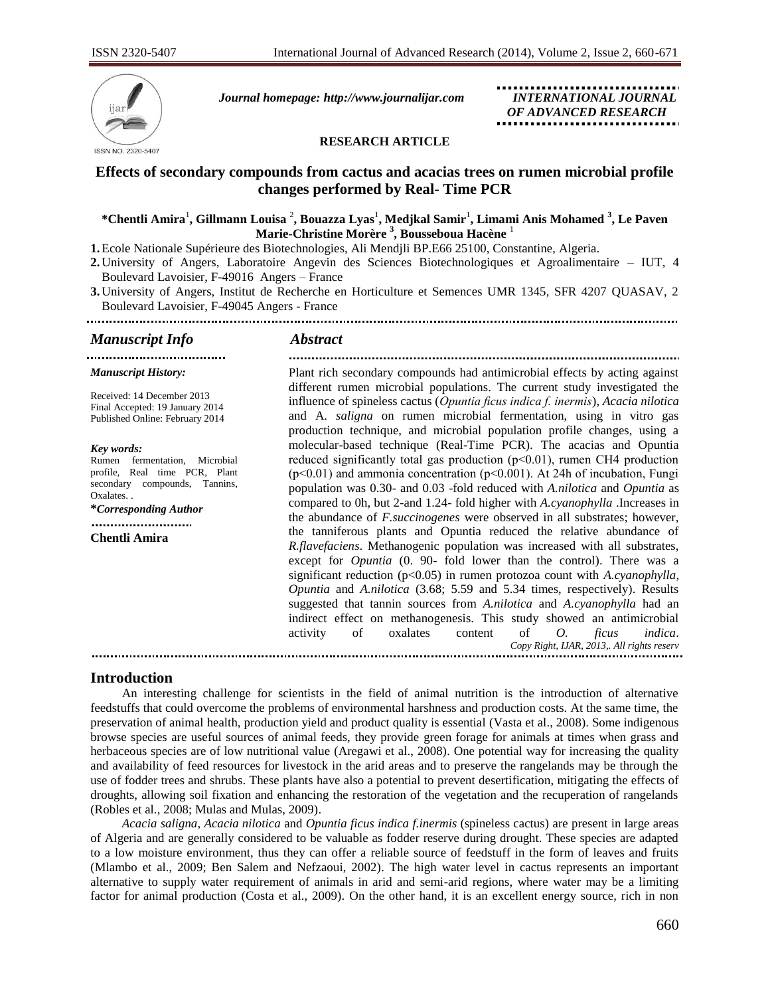

*Journal homepage: [http://www.journalijar.com](http://www.journalijar.com/) INTERNATIONAL JOURNAL*

 *OF ADVANCED RESEARCH*

## **RESEARCH ARTICLE**

# **Effects of secondary compounds from cactus and acacias trees on rumen microbial profile changes performed by Real- Time PCR**

## $^*$ Chentli Amira<sup>1</sup>, Gillmann Louisa <sup>2</sup>, Bouazza Lyas<sup>1</sup>, Medjkal Samir<sup>1</sup>, Limami Anis Mohamed <sup>3</sup>, Le Paven **Marie-Christine Morère <sup>3</sup> , Bousseboua Hacène** <sup>1</sup>

**1.**Ecole Nationale Supérieure des Biotechnologies, Ali Mendjli BP.E66 25100, Constantine, Algeria.

**2.** University of Angers, Laboratoire Angevin des Sciences Biotechnologiques et Agroalimentaire – IUT, 4 Boulevard Lavoisier, F-49016 Angers – France

**3.** University of Angers, Institut de Recherche en Horticulture et Semences UMR 1345, SFR 4207 QUASAV, 2 Boulevard Lavoisier, F-49045 Angers - France 

## *Manuscript Info Abstract*

*Manuscript History:*

*Key words:* 

Oxalates. .

Received: 14 December 2013 Final Accepted: 19 January 2014 Published Online: February 2014

....................................

**\****Corresponding Author*

**Chentli Amira**

Rumen fermentation, Microbial profile, Real time PCR, Plant secondary compounds, Tannins,

Plant rich secondary compounds had antimicrobial effects by acting against different rumen microbial populations. The current study investigated the influence of spineless cactus (*Opuntia ficus indica f. inermis*), *Acacia nilotica* and A. *saligna* on rumen microbial fermentation, using in vitro gas production technique, and microbial population profile changes, using a molecular-based technique (Real-Time PCR). The acacias and Opuntia reduced significantly total gas production (p˂0.01), rumen CH4 production  $(p<0.01)$  and ammonia concentration  $(p<0.001)$ . At 24h of incubation, Fungi population was 0.30- and 0.03 -fold reduced with *A.nilotica* and *Opuntia* as compared to 0h, but 2-and 1.24- fold higher with *A.cyanophylla* .Increases in the abundance of *F.succinogenes* were observed in all substrates; however, the tanniferous plants and Opuntia reduced the relative abundance of *R.flavefaciens*. Methanogenic population was increased with all substrates, except for *Opuntia* (0. 90- fold lower than the control). There was a significant reduction (p<0.05) in rumen protozoa count with *A.cyanophylla*, *Opuntia* and *A.nilotica* (3.68; 5.59 and 5.34 times, respectively). Results suggested that tannin sources from *A.nilotica* and *A.cyanophylla* had an indirect effect on methanogenesis. This study showed an antimicrobial *Copy Right, IJAR, 2013,. All rights reserv* activity of oxalates content of *O. ficus indica*.

## **Introduction**

 An interesting challenge for scientists in the field of animal nutrition is the introduction of alternative feedstuffs that could overcome the problems of environmental harshness and production costs. At the same time, the preservation of animal health, production yield and product quality is essential (Vasta et al., 2008). Some indigenous browse species are useful sources of animal feeds, they provide green forage for animals at times when grass and herbaceous species are of low nutritional value (Aregawi et al., 2008). One potential way for increasing the quality and availability of feed resources for livestock in the arid areas and to preserve the rangelands may be through the use of fodder trees and shrubs. These plants have also a potential to prevent desertification, mitigating the effects of droughts, allowing soil fixation and enhancing the restoration of the vegetation and the recuperation of rangelands (Robles et al., 2008; Mulas and Mulas, 2009).

 *Acacia saligna*, *Acacia nilotica* and *Opuntia ficus indica f.inermis* (spineless cactus) are present in large areas of Algeria and are generally considered to be valuable as fodder reserve during drought. These species are adapted to a low moisture environment, thus they can offer a reliable source of feedstuff in the form of leaves and fruits (Mlambo et al., 2009; Ben Salem and Nefzaoui, 2002). The high water level in cactus represents an important alternative to supply water requirement of animals in arid and semi-arid regions, where water may be a limiting factor for animal production (Costa et al., 2009). On the other hand, it is an excellent energy source, rich in non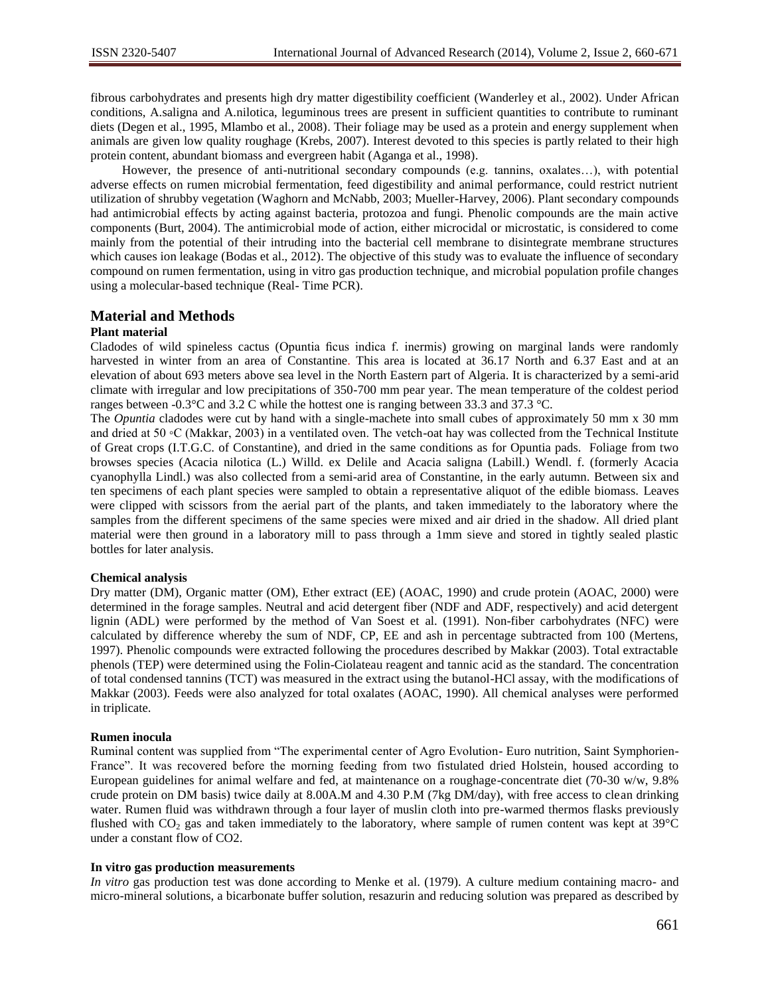fibrous carbohydrates and presents high dry matter digestibility coefficient (Wanderley et al., 2002). Under African conditions, A.saligna and A.nilotica, leguminous trees are present in sufficient quantities to contribute to ruminant diets (Degen et al., 1995, Mlambo et al., 2008). Their foliage may be used as a protein and energy supplement when animals are given low quality roughage (Krebs, 2007). Interest devoted to this species is partly related to their high protein content, abundant biomass and evergreen habit (Aganga et al., 1998).

 However, the presence of anti-nutritional secondary compounds (e.g. tannins, oxalates…), with potential adverse effects on rumen microbial fermentation, feed digestibility and animal performance, could restrict nutrient utilization of shrubby vegetation (Waghorn and McNabb, 2003; Mueller-Harvey, 2006). Plant secondary compounds had antimicrobial effects by acting against bacteria, protozoa and fungi. Phenolic compounds are the main active components (Burt, 2004). The antimicrobial mode of action, either microcidal or microstatic, is considered to come mainly from the potential of their intruding into the bacterial cell membrane to disintegrate membrane structures which causes ion leakage (Bodas et al., 2012). The objective of this study was to evaluate the influence of secondary compound on rumen fermentation, using in vitro gas production technique, and microbial population profile changes using a molecular-based technique (Real- Time PCR).

## **Material and Methods**

#### **Plant material**

Cladodes of wild spineless cactus (Opuntia ficus indica f. inermis) growing on marginal lands were randomly harvested in winter from an area of Constantine. This area is located at 36.17 North and 6.37 East and at an elevation of about 693 meters above sea level in the North Eastern part of Algeria. It is characterized by a semi-arid climate with irregular and low precipitations of 350-700 mm pear year. The mean temperature of the coldest period ranges between -0.3°C and 3.2 C while the hottest one is ranging between 33.3 and 37.3 °C.

The *Opuntia* cladodes were cut by hand with a single-machete into small cubes of approximately 50 mm x 30 mm and dried at 50 ◦C (Makkar, 2003) in a ventilated oven. The vetch-oat hay was collected from the Technical Institute of Great crops (I.T.G.C. of Constantine), and dried in the same conditions as for Opuntia pads. Foliage from two browses species (Acacia nilotica (L.) Willd. ex Delile and Acacia saligna (Labill.) Wendl. f. (formerly Acacia cyanophylla Lindl.) was also collected from a semi-arid area of Constantine, in the early autumn. Between six and ten specimens of each plant species were sampled to obtain a representative aliquot of the edible biomass. Leaves were clipped with scissors from the aerial part of the plants, and taken immediately to the laboratory where the samples from the different specimens of the same species were mixed and air dried in the shadow. All dried plant material were then ground in a laboratory mill to pass through a 1mm sieve and stored in tightly sealed plastic bottles for later analysis.

#### **Chemical analysis**

Dry matter (DM), Organic matter (OM), Ether extract (EE) (AOAC, 1990) and crude protein (AOAC, 2000) were determined in the forage samples. Neutral and acid detergent fiber (NDF and ADF, respectively) and acid detergent lignin (ADL) were performed by the method of Van Soest et al. (1991). Non-fiber carbohydrates (NFC) were calculated by difference whereby the sum of NDF, CP, EE and ash in percentage subtracted from 100 (Mertens, 1997). Phenolic compounds were extracted following the procedures described by Makkar (2003). Total extractable phenols (TEP) were determined using the Folin-Ciolateau reagent and tannic acid as the standard. The concentration of total condensed tannins (TCT) was measured in the extract using the butanol-HCl assay, with the modifications of Makkar (2003). Feeds were also analyzed for total oxalates (AOAC, 1990). All chemical analyses were performed in triplicate.

#### **Rumen inocula**

Ruminal content was supplied from "The experimental center of Agro Evolution- Euro nutrition, Saint Symphorien-France". It was recovered before the morning feeding from two fistulated dried Holstein, housed according to European guidelines for animal welfare and fed, at maintenance on a roughage-concentrate diet (70-30 w/w, 9.8% crude protein on DM basis) twice daily at 8.00A.M and 4.30 P.M (7kg DM/day), with free access to clean drinking water. Rumen fluid was withdrawn through a four layer of muslin cloth into pre-warmed thermos flasks previously flushed with  $CO_2$  gas and taken immediately to the laboratory, where sample of rumen content was kept at 39 $\degree$ C under a constant flow of CO2.

#### **In vitro gas production measurements**

*In vitro* gas production test was done according to Menke et al. (1979). A culture medium containing macro- and micro-mineral solutions, a bicarbonate buffer solution, resazurin and reducing solution was prepared as described by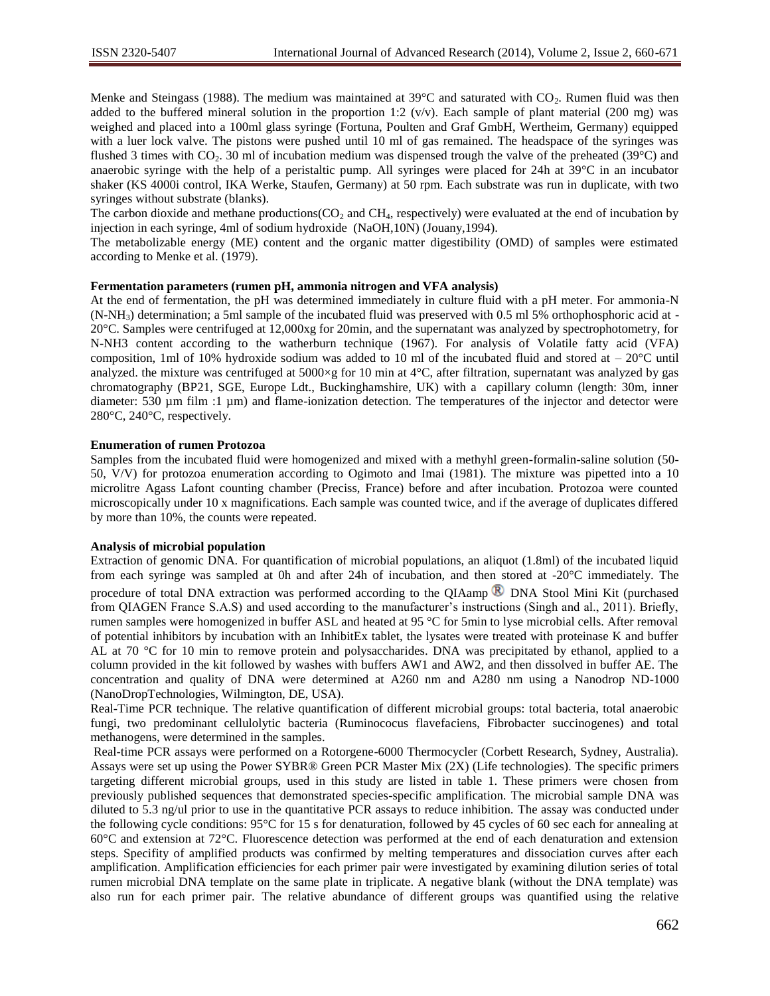Menke and Steingass (1988). The medium was maintained at  $39^{\circ}$ C and saturated with CO<sub>2</sub>. Rumen fluid was then added to the buffered mineral solution in the proportion 1:2 ( $v/v$ ). Each sample of plant material (200 mg) was weighed and placed into a 100ml glass syringe (Fortuna, Poulten and Graf GmbH, Wertheim, Germany) equipped with a luer lock valve. The pistons were pushed until 10 ml of gas remained. The headspace of the syringes was flushed 3 times with  $CO_2$ . 30 ml of incubation medium was dispensed trough the valve of the preheated (39 $^{\circ}$ C) and anaerobic syringe with the help of a peristaltic pump. All syringes were placed for 24h at 39°C in an incubator shaker (KS 4000i control, IKA Werke, Staufen, Germany) at 50 rpm. Each substrate was run in duplicate, with two syringes without substrate (blanks).

The carbon dioxide and methane productions( $CO_2$  and  $CH_4$ , respectively) were evaluated at the end of incubation by injection in each syringe, 4ml of sodium hydroxide (NaOH,10N) (Jouany,1994).

The metabolizable energy (ME) content and the organic matter digestibility (OMD) of samples were estimated according to Menke et al. (1979).

## **Fermentation parameters (rumen pH, ammonia nitrogen and VFA analysis)**

At the end of fermentation, the pH was determined immediately in culture fluid with a pH meter. For ammonia-N (N-NH3) determination; a 5ml sample of the incubated fluid was preserved with 0.5 ml 5% orthophosphoric acid at - 20°C. Samples were centrifuged at 12,000xg for 20min, and the supernatant was analyzed by spectrophotometry, for N-NH3 content according to the watherburn technique (1967). For analysis of Volatile fatty acid (VFA) composition, 1ml of 10% hydroxide sodium was added to 10 ml of the incubated fluid and stored at  $-20^{\circ}$ C until analyzed. the mixture was centrifuged at  $5000 \times g$  for 10 min at  $4^{\circ}$ C, after filtration, supernatant was analyzed by gas chromatography (BP21, SGE, Europe Ldt., Buckinghamshire, UK) with a capillary column (length: 30m, inner diameter: 530 µm film :1 µm) and flame-ionization detection. The temperatures of the injector and detector were 280°C, 240°C, respectively.

#### **Enumeration of rumen Protozoa**

Samples from the incubated fluid were homogenized and mixed with a methyhl green-formalin-saline solution (50- 50, V/V) for protozoa enumeration according to Ogimoto and Imai (1981). The mixture was pipetted into a 10 microlitre Agass Lafont counting chamber (Preciss, France) before and after incubation. Protozoa were counted microscopically under 10 x magnifications. Each sample was counted twice, and if the average of duplicates differed by more than 10%, the counts were repeated.

## **Analysis of microbial population**

Extraction of genomic DNA. For quantification of microbial populations, an aliquot (1.8ml) of the incubated liquid from each syringe was sampled at 0h and after 24h of incubation, and then stored at -20°C immediately. The procedure of total DNA extraction was performed according to the QIAamp  $\bigotimes$  DNA Stool Mini Kit (purchased from QIAGEN France S.A.S) and used according to the manufacturer's instructions (Singh and al., 2011). Briefly, rumen samples were homogenized in buffer ASL and heated at 95 °C for 5min to lyse microbial cells. After removal of potential inhibitors by incubation with an InhibitEx tablet, the lysates were treated with proteinase K and buffer AL at 70 °C for 10 min to remove protein and polysaccharides. DNA was precipitated by ethanol, applied to a column provided in the kit followed by washes with buffers AW1 and AW2, and then dissolved in buffer AE. The concentration and quality of DNA were determined at A260 nm and A280 nm using a Nanodrop ND-1000 (NanoDropTechnologies, Wilmington, DE, USA).

Real-Time PCR technique. The relative quantification of different microbial groups: total bacteria, total anaerobic fungi, two predominant cellulolytic bacteria (Ruminococus flavefaciens, Fibrobacter succinogenes) and total methanogens, were determined in the samples.

Real-time PCR assays were performed on a Rotorgene-6000 Thermocycler (Corbett Research, Sydney, Australia). Assays were set up using the Power SYBR® Green PCR Master Mix (2X) (Life technologies). The specific primers targeting different microbial groups, used in this study are listed in table 1. These primers were chosen from previously published sequences that demonstrated species-specific amplification. The microbial sample DNA was diluted to 5.3 ng/ul prior to use in the quantitative PCR assays to reduce inhibition. The assay was conducted under the following cycle conditions: 95°C for 15 s for denaturation, followed by 45 cycles of 60 sec each for annealing at 60°C and extension at 72°C. Fluorescence detection was performed at the end of each denaturation and extension steps. Specifity of amplified products was confirmed by melting temperatures and dissociation curves after each amplification. Amplification efficiencies for each primer pair were investigated by examining dilution series of total rumen microbial DNA template on the same plate in triplicate. A negative blank (without the DNA template) was also run for each primer pair. The relative abundance of different groups was quantified using the relative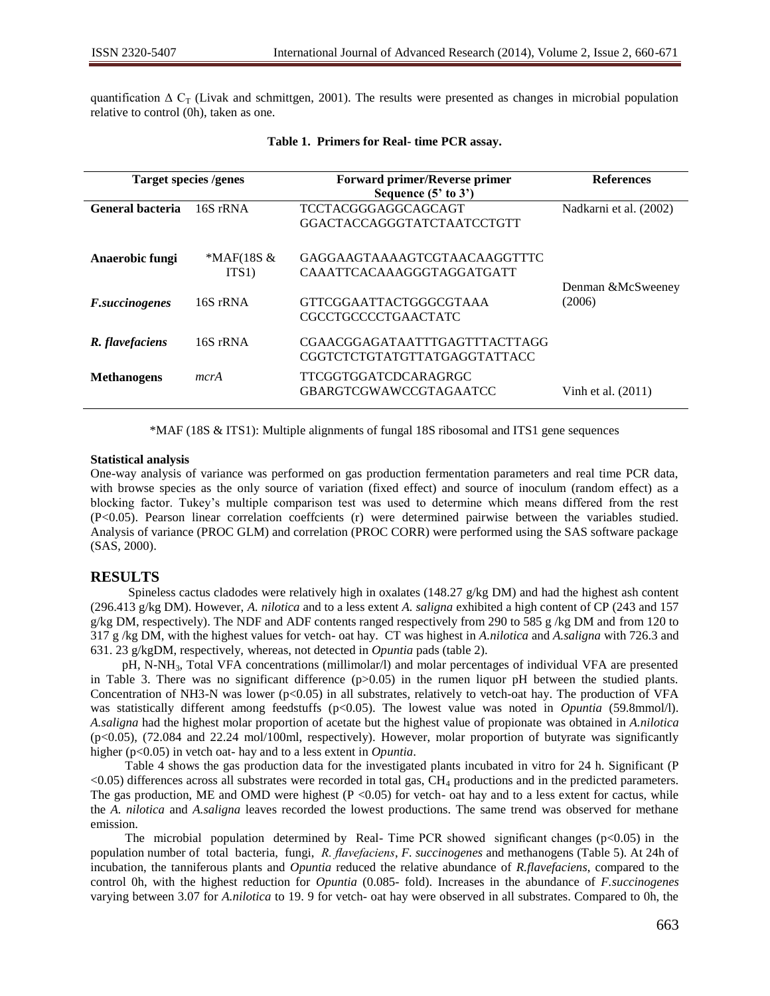quantification  $\Delta C_T$  (Livak and schmittgen, 2001). The results were presented as changes in microbial population relative to control (0h), taken as one.

| <b>Target species /genes</b> |              | <b>Forward primer/Reverse primer</b> | <b>References</b>      |  |
|------------------------------|--------------|--------------------------------------|------------------------|--|
|                              |              | Sequence $(5'$ to $3')$              |                        |  |
| General bacteria             | 16S rRNA     | TCCTACGGGAGGCAGCAGT                  | Nadkarni et al. (2002) |  |
|                              |              | GGACTACCAGGGTATCTAATCCTGTT           |                        |  |
| Anaerobic fungi              | $*MAF(18S &$ | GAGGAAGTAAAAGTCGTAACAAGGTTTC         |                        |  |
|                              | ITS1)        | CAAATTCACAAAGGGTAGGATGATT            |                        |  |
|                              |              |                                      | Denman &McSweeney      |  |
| <i>F.succinogenes</i>        | 16S rRNA     | GTTCGGAATTACTGGGCGTAAA               | (2006)                 |  |
|                              |              | <b>CGCCTGCCCCTGAACTATC</b>           |                        |  |
| R. flavefaciens              | 16S rRNA     | CGAACGGAGATAATTTGAGTTTACTTAGG        |                        |  |
|                              |              | CGGTCTCTGTATGTTATGAGGTATTACC         |                        |  |
| <b>Methanogens</b>           | mcrA         | TTCGGTGGATCDCARAGRGC                 |                        |  |
|                              |              | GBARGTCGWAWCCGTAGAATCC               | Vinh et al. (2011)     |  |

### **Table 1. Primers for Real- time PCR assay.**

\*MAF (18S & ITS1): Multiple alignments of fungal 18S ribosomal and ITS1 gene sequences

#### **Statistical analysis**

One-way analysis of variance was performed on gas production fermentation parameters and real time PCR data, with browse species as the only source of variation (fixed effect) and source of inoculum (random effect) as a blocking factor. Tukey's multiple comparison test was used to determine which means differed from the rest (P<0.05). Pearson linear correlation coeffcients (r) were determined pairwise between the variables studied. Analysis of variance (PROC GLM) and correlation (PROC CORR) were performed using the SAS software package (SAS, 2000).

## **RESULTS**

Spineless cactus cladodes were relatively high in oxalates (148.27  $g/kg DM$ ) and had the highest ash content (296.413 g/kg DM). However, *A. nilotica* and to a less extent *A. saligna* exhibited a high content of CP (243 and 157 g/kg DM, respectively). The NDF and ADF contents ranged respectively from 290 to 585 g /kg DM and from 120 to 317 g /kg DM, with the highest values for vetch- oat hay. CT was highest in *A.nilotica* and *A.saligna* with 726.3 and 631. 23 g/kgDM, respectively, whereas, not detected in *Opuntia* pads (table 2).

pH, N-NH3, Total VFA concentrations (millimolar/l) and molar percentages of individual VFA are presented in Table 3. There was no significant difference  $(p>0.05)$  in the rumen liquor pH between the studied plants. Concentration of NH3-N was lower ( $p<0.05$ ) in all substrates, relatively to vetch-oat hay. The production of VFA was statistically different among feedstuffs (p<0.05). The lowest value was noted in *Opuntia* (59.8mmol/l). *A.saligna* had the highest molar proportion of acetate but the highest value of propionate was obtained in *A.nilotica* (p<0.05), (72.084 and 22.24 mol/100ml, respectively). However, molar proportion of butyrate was significantly higher (p<0.05) in vetch oat- hay and to a less extent in *Opuntia*.

 Table 4 shows the gas production data for the investigated plants incubated in vitro for 24 h. Significant (P <0.05) differences across all substrates were recorded in total gas, CH<sup>4</sup> productions and in the predicted parameters. The gas production, ME and OMD were highest ( $P < 0.05$ ) for vetch- oat hay and to a less extent for cactus, while the *A. nilotica* and *A.saligna* leaves recorded the lowest productions. The same trend was observed for methane emission.

The microbial population determined by Real- Time PCR showed significant changes ( $p<0.05$ ) in the population number of total bacteria, fungi, *R. flavefaciens*, *F. succinogenes* and methanogens (Table 5). At 24h of incubation, the tanniferous plants and *Opuntia* reduced the relative abundance of *R.flavefaciens*, compared to the control 0h, with the highest reduction for *Opuntia* (0.085- fold). Increases in the abundance of *F.succinogenes* varying between 3.07 for *A.nilotica* to 19. 9 for vetch- oat hay were observed in all substrates. Compared to 0h, the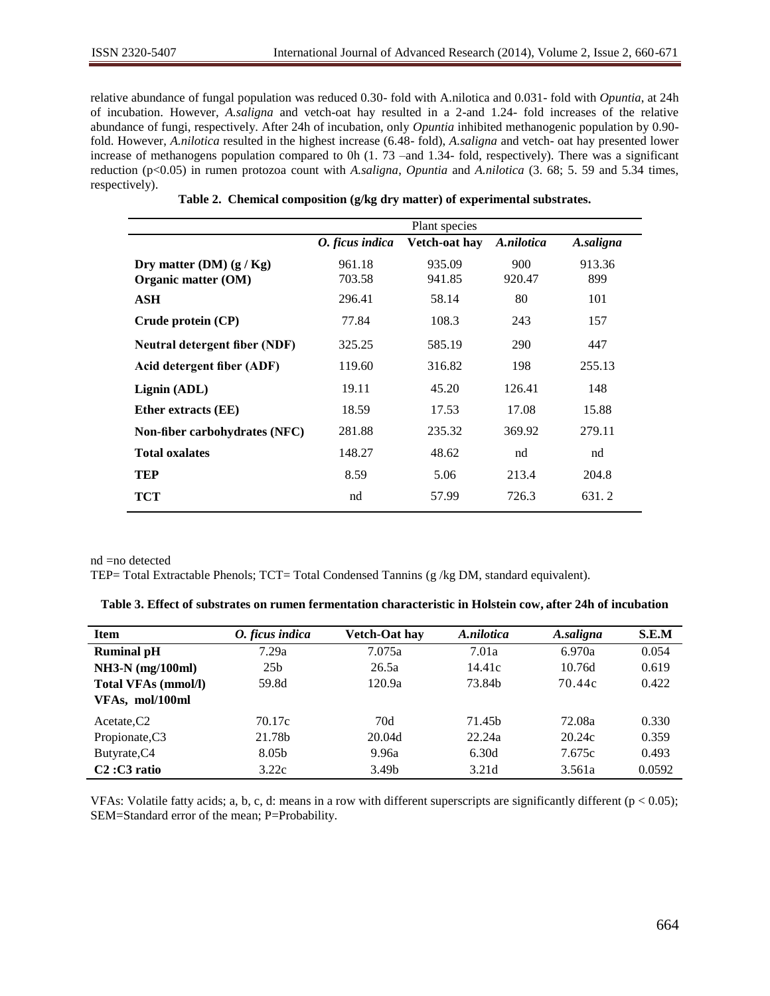relative abundance of fungal population was reduced 0.30- fold with A.nilotica and 0.031- fold with *Opuntia*, at 24h of incubation. However, *A.saligna* and vetch-oat hay resulted in a 2-and 1.24- fold increases of the relative abundance of fungi, respectively. After 24h of incubation, only *Opuntia* inhibited methanogenic population by 0.90 fold. However, *A.nilotica* resulted in the highest increase (6.48- fold), *A.saligna* and vetch- oat hay presented lower increase of methanogens population compared to 0h (1. 73 –and 1.34- fold, respectively). There was a significant reduction (p<0.05) in rumen protozoa count with *A.saligna*, *Opuntia* and *A.nilotica* (3. 68; 5. 59 and 5.34 times, respectively).

|                 | Plant species |            |           |
|-----------------|---------------|------------|-----------|
| O. ficus indica | Vetch-oat hav | A.nilotica | A.saligna |
| 961.18          | 935.09        | 900        | 913.36    |
| 703.58          | 941.85        | 920.47     | 899       |
| 296.41          | 58.14         | 80         | 101       |
| 77.84           | 108.3         | 243        | 157       |
| 325.25          | 585.19        | 290        | 447       |
| 119.60          | 316.82        | 198        | 255.13    |
| 19.11           | 45.20         | 126.41     | 148       |
| 18.59           | 17.53         | 17.08      | 15.88     |
| 281.88          | 235.32        | 369.92     | 279.11    |
| 148.27          | 48.62         | nd         | nd        |
| 8.59            | 5.06          | 213.4      | 204.8     |
| nd              | 57.99         | 726.3      | 631.2     |
|                 |               |            |           |

|  |  | Table 2. Chemical composition (g/kg dry matter) of experimental substrates. |  |  |  |  |  |
|--|--|-----------------------------------------------------------------------------|--|--|--|--|--|
|--|--|-----------------------------------------------------------------------------|--|--|--|--|--|

nd =no detected

TEP= Total Extractable Phenols; TCT= Total Condensed Tannins (g /kg DM, standard equivalent).

| Table 3. Effect of substrates on rumen fermentation characteristic in Holstein cow, after 24h of incubation |  |  |  |  |  |  |
|-------------------------------------------------------------------------------------------------------------|--|--|--|--|--|--|
|-------------------------------------------------------------------------------------------------------------|--|--|--|--|--|--|

| <b>Item</b>                | O. ficus indica | <b>Vetch-Oat hay</b> | A.nilotica | A.saligna | S.E.M  |
|----------------------------|-----------------|----------------------|------------|-----------|--------|
| <b>Ruminal pH</b>          | 7.29a           | 7.075a               | 7.01a      | 6.970a    | 0.054  |
| $NH3-N$ (mg/100ml)         | 25 <sub>b</sub> | 26.5a                | 14.41c     | 10.76d    | 0.619  |
| <b>Total VFAs (mmol/l)</b> | 59.8d           | 120.9a               | 73.84b     | 70.44c    | 0.422  |
| VFAs, mol/100ml            |                 |                      |            |           |        |
| Acetate, C <sub>2</sub>    | 70.17c          | 70d                  | 71.45b     | 72.08a    | 0.330  |
| Propionate, C3             | 21.78b          | 20.04d               | 22.24a     | 20.24c    | 0.359  |
| Butyrate, C4               | 8.05b           | 9.96a                | 6.30d      | 7.675c    | 0.493  |
| $C2: C3$ ratio             | 3.22c           | 3.49 <sub>b</sub>    | 3.21d      | 3.561a    | 0.0592 |

VFAs: Volatile fatty acids; a, b, c, d: means in a row with different superscripts are significantly different ( $p < 0.05$ ); SEM=Standard error of the mean; P=Probability.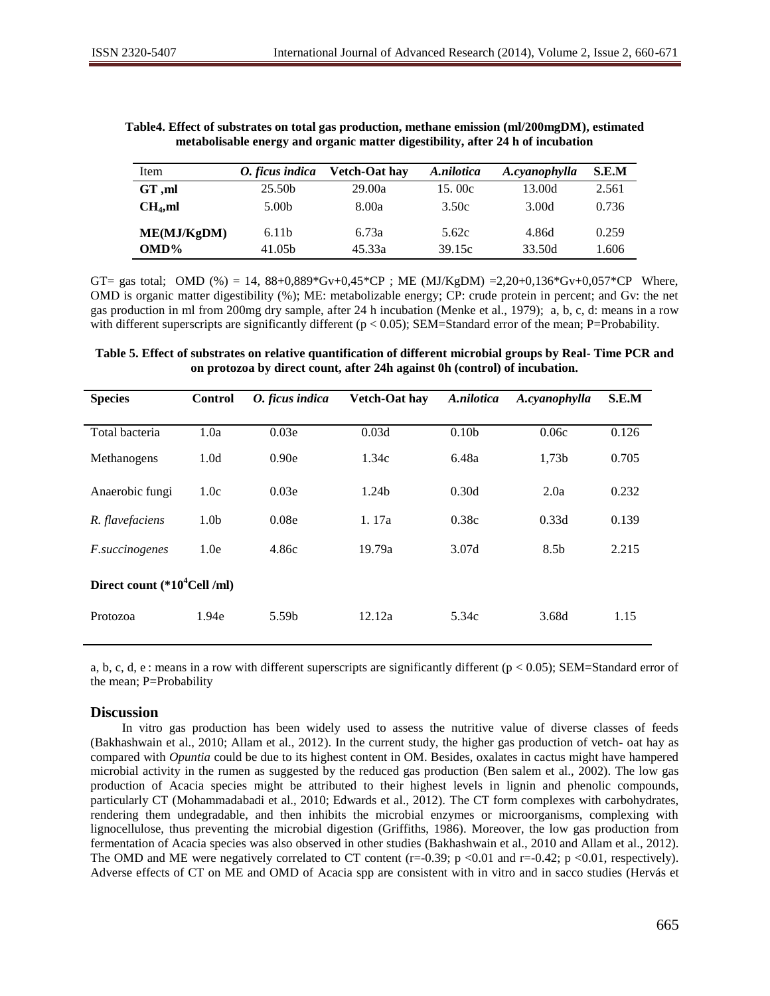| Item                | O. ficus indica   | <b>Vetch-Oat hay</b> | A.nilotica | A.cyanophylla | S.E.M |
|---------------------|-------------------|----------------------|------------|---------------|-------|
| GT,ml               | 25.50b            | 29.00a               | 15.00c     | 13.00d        | 2.561 |
| CH <sub>4</sub> ,ml | 5.00 <sub>b</sub> | 8.00a                | 3.50c      | 3.00d         | 0.736 |
| ME(MJ/KgDM)         | 6.11 <sub>b</sub> | 6.73a                | 5.62c      | 4.86d         | 0.259 |
| $OMD\%$             | 41.05b            | 45.33a               | 39.15c     | 33.50d        | 1.606 |

**Table4. Effect of substrates on total gas production, methane emission (ml/200mgDM), estimated metabolisable energy and organic matter digestibility, after 24 h of incubation**

GT= gas total; OMD (%) = 14,  $88+0,889*Gv+0,45*CP$ ; ME (MJ/KgDM) =2,20+0,136\*Gv+0,057\*CP Where, OMD is organic matter digestibility (%); ME: metabolizable energy; CP: crude protein in percent; and Gv: the net gas production in ml from 200mg dry sample, after 24 h incubation (Menke et al., 1979); a, b, c, d: means in a row with different superscripts are significantly different ( $p < 0.05$ ); SEM=Standard error of the mean; P=Probability.

**Table 5. Effect of substrates on relative quantification of different microbial groups by Real- Time PCR and on protozoa by direct count, after 24h against 0h (control) of incubation.**

| <b>Species</b>                  | <b>Control</b>   | O. ficus indica | <b>Vetch-Oat hay</b> | A.nilotica        | A.cyanophylla    | S.E.M |  |  |
|---------------------------------|------------------|-----------------|----------------------|-------------------|------------------|-------|--|--|
| Total bacteria                  | 1.0a             | 0.03e           | 0.03d                | 0.10 <sub>b</sub> | 0.06c            | 0.126 |  |  |
| Methanogens                     | 1.0 <sub>d</sub> | 0.90e           | 1.34c                | 6.48a             | 1,73b            | 0.705 |  |  |
| Anaerobic fungi                 | 1.0c             | 0.03e           | 1.24 <sub>b</sub>    | 0.30d             | 2.0a             | 0.232 |  |  |
| R. flavefaciens                 | 1.0 <sub>b</sub> | 0.08e           | 1.17a                | 0.38c             | 0.33d            | 0.139 |  |  |
| <i>F.succinogenes</i>           | 1.0e             | 4.86c           | 19.79a               | 3.07d             | 8.5 <sub>b</sub> | 2.215 |  |  |
| Direct count $(*10^4$ Cell /ml) |                  |                 |                      |                   |                  |       |  |  |
| Protozoa                        | 1.94e            | 5.59b           | 12.12a               | 5.34c             | 3.68d            | 1.15  |  |  |

a, b, c, d, e : means in a row with different superscripts are significantly different ( $p < 0.05$ ); SEM=Standard error of the mean; P=Probability

## **Discussion**

 In vitro gas production has been widely used to assess the nutritive value of diverse classes of feeds (Bakhashwain et al., 2010; Allam et al., 2012). In the current study, the higher gas production of vetch- oat hay as compared with *Opuntia* could be due to its highest content in OM. Besides, oxalates in cactus might have hampered microbial activity in the rumen as suggested by the reduced gas production (Ben salem et al., 2002). The low gas production of Acacia species might be attributed to their highest levels in lignin and phenolic compounds, particularly CT (Mohammadabadi et al., 2010; Edwards et al., 2012). The CT form complexes with carbohydrates, rendering them undegradable, and then inhibits the microbial enzymes or microorganisms, complexing with lignocellulose, thus preventing the microbial digestion (Griffiths, 1986). Moreover, the low gas production from fermentation of Acacia species was also observed in other studies (Bakhashwain et al., 2010 and Allam et al., 2012). The OMD and ME were negatively correlated to CT content (r=-0.39;  $p \lt 0.01$  and r=-0.42;  $p \lt 0.01$ , respectively). Adverse effects of CT on ME and OMD of Acacia spp are consistent with in vitro and in sacco studies (Hervás et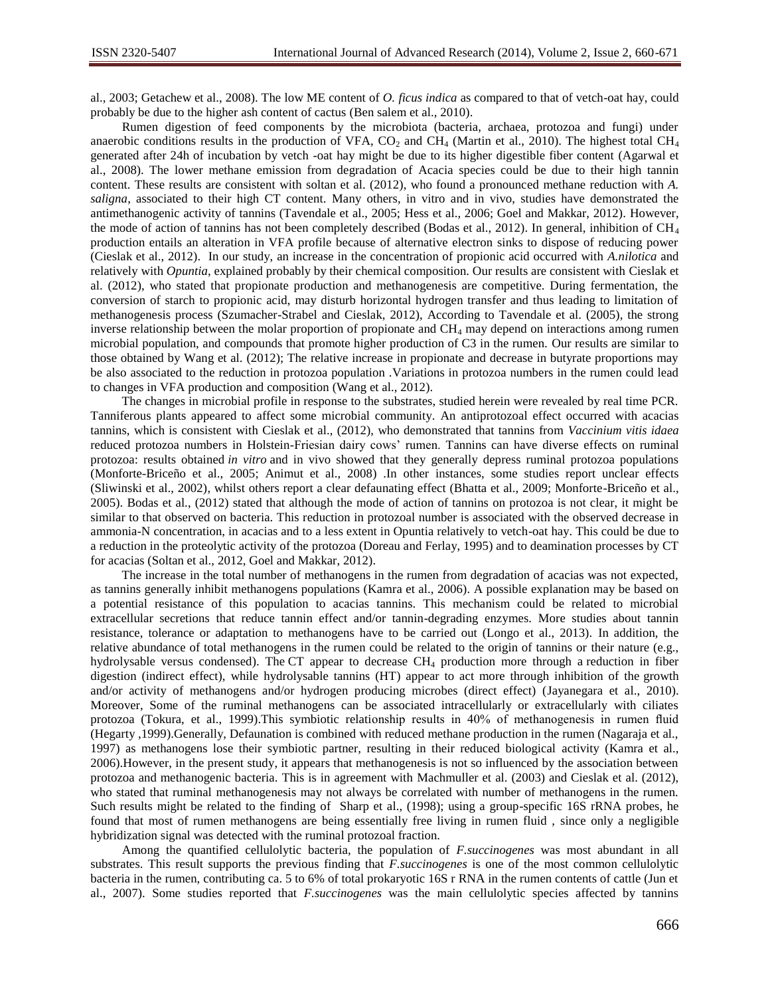al., 2003; Getachew et al., 2008). The low ME content of *O. ficus indica* as compared to that of vetch-oat hay, could probably be due to the higher ash content of cactus (Ben salem et al., 2010).

Rumen digestion of feed components by the microbiota (bacteria, archaea, protozoa and fungi) under anaerobic conditions results in the production of VFA,  $CO<sub>2</sub>$  and CH<sub>4</sub> (Martin et al., 2010). The highest total CH<sub>4</sub> generated after 24h of incubation by vetch -oat hay might be due to its higher digestible fiber content (Agarwal et al., 2008). The lower methane emission from degradation of Acacia species could be due to their high tannin content. These results are consistent with soltan et al. (2012), who found a pronounced methane reduction with *A. saligna*, associated to their high CT content. Many others, in vitro and in vivo, studies have demonstrated the antimethanogenic activity of tannins (Tavendale et al., 2005; Hess et al., 2006; Goel and Makkar, 2012). However, the mode of action of tannins has not been completely described (Bodas et al., 2012). In general, inhibition of  $CH_4$ production entails an alteration in VFA profile because of alternative electron sinks to dispose of reducing power (Cieslak et al., 2012). In our study, an increase in the concentration of propionic acid occurred with *A.nilotica* and relatively with *Opuntia*, explained probably by their chemical composition. Our results are consistent with Cieslak et al. (2012), who stated that propionate production and methanogenesis are competitive. During fermentation, the conversion of starch to propionic acid, may disturb horizontal hydrogen transfer and thus leading to limitation of methanogenesis process (Szumacher-Strabel and Cieslak, 2012), According to Tavendale et al. (2005), the strong inverse relationship between the molar proportion of propionate and  $CH<sub>4</sub>$  may depend on interactions among rumen microbial population, and compounds that promote higher production of C3 in the rumen. Our results are similar to those obtained by Wang et al. (2012); The relative increase in propionate and decrease in butyrate proportions may be also associated to the reduction in protozoa population .Variations in protozoa numbers in the rumen could lead to changes in VFA production and composition (Wang et al., 2012).

 The changes in microbial profile in response to the substrates, studied herein were revealed by real time PCR. Tanniferous plants appeared to affect some microbial community. An antiprotozoal effect occurred with acacias tannins, which is consistent with Cieslak et al., (2012), who demonstrated that tannins from *Vaccinium vitis idaea* reduced protozoa numbers in Holstein-Friesian dairy cows' rumen. Tannins can have diverse effects on ruminal protozoa: results obtained *in vitro* and in vivo showed that they generally depress ruminal protozoa populations (Monforte-Briceño et al., 2005; Animut et al., 2008) .In other instances, some studies report unclear effects (Sliwinski et al., 2002), whilst others report a clear defaunating effect (Bhatta et al., 2009; Monforte-Briceño et al., 2005). Bodas et al., (2012) stated that although the mode of action of tannins on protozoa is not clear, it might be similar to that observed on bacteria. This reduction in protozoal number is associated with the observed decrease in ammonia-N concentration, in acacias and to a less extent in Opuntia relatively to vetch-oat hay. This could be due to a reduction in the proteolytic activity of the protozoa (Doreau and Ferlay, 1995) and to deamination processes by CT for acacias (Soltan et al., 2012, Goel and Makkar, 2012).

 The increase in the total number of methanogens in the rumen from degradation of acacias was not expected, as tannins generally inhibit methanogens populations (Kamra et al., 2006). A possible explanation may be based on a potential resistance of this population to acacias tannins. This mechanism could be related to microbial extracellular secretions that reduce tannin effect and/or tannin-degrading enzymes. More studies about tannin resistance, tolerance or adaptation to methanogens have to be carried out (Longo et al., 2013). In addition, the relative abundance of total methanogens in the rumen could be related to the origin of tannins or their nature (e.g., hydrolysable versus condensed). The CT appear to decrease CH<sub>4</sub> production more through a reduction in fiber digestion (indirect effect), while hydrolysable tannins (HT) appear to act more through inhibition of the growth and/or activity of methanogens and/or hydrogen producing microbes (direct effect) (Jayanegara et al., 2010). Moreover, Some of the ruminal methanogens can be associated intracellularly or extracellularly with ciliates protozoa (Tokura, et al., 1999).This symbiotic relationship results in 40% of methanogenesis in rumen fluid (Hegarty ,1999).Generally, Defaunation is combined with reduced methane production in the rumen (Nagaraja et al., 1997) as methanogens lose their symbiotic partner, resulting in their reduced biological activity (Kamra et al., 2006).However, in the present study, it appears that methanogenesis is not so influenced by the association between protozoa and methanogenic bacteria. This is in agreement with Machmuller et al. (2003) and Cieslak et al. (2012), who stated that ruminal methanogenesis may not always be correlated with number of methanogens in the rumen. Such results might be related to the finding of Sharp et al., (1998); using a group-specific 16S rRNA probes, he found that most of rumen methanogens are being essentially free living in rumen fluid , since only a negligible hybridization signal was detected with the ruminal protozoal fraction.

 Among the quantified cellulolytic bacteria, the population of *F.succinogenes* was most abundant in all substrates. This result supports the previous finding that *F.succinogenes* is one of the most common cellulolytic bacteria in the rumen, contributing ca. 5 to 6% of total prokaryotic 16S r RNA in the rumen contents of cattle (Jun et al., 2007). Some studies reported that *F.succinogenes* was the main cellulolytic species affected by tannins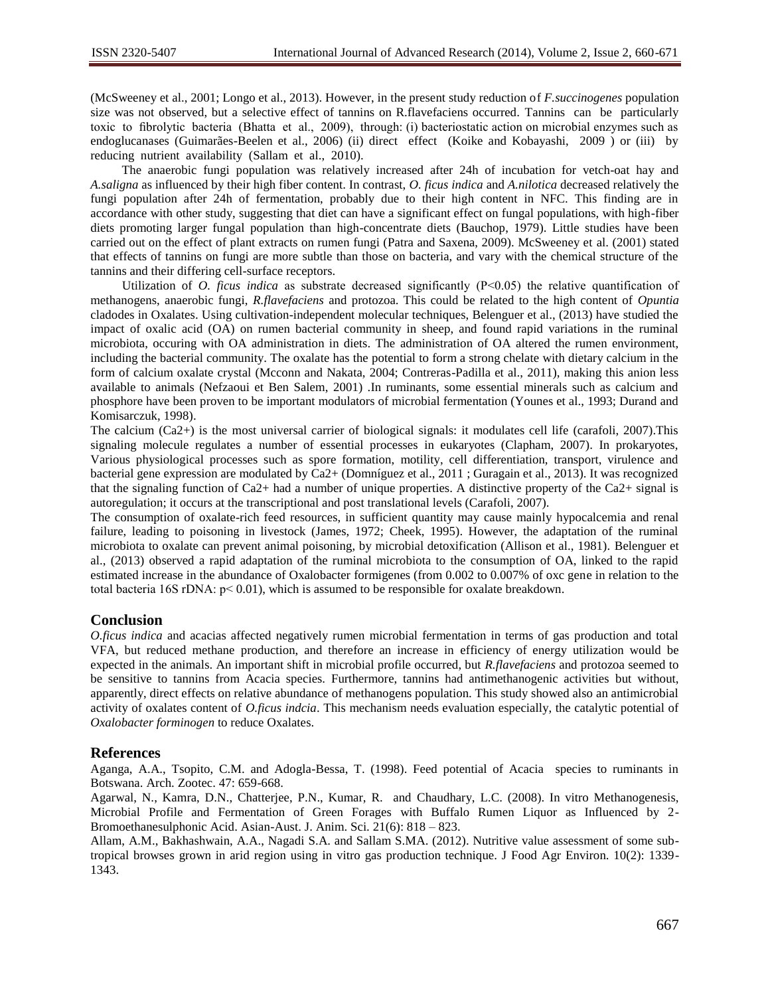(McSweeney et al., 2001; Longo et al., 2013). However, in the present study reduction of *F.succinogenes* population size was not observed, but a selective effect of tannins on R.flavefaciens occurred. Tannins can be particularly toxic to fibrolytic bacteria (Bhatta et al., 2009), through: (i) bacteriostatic action on microbial enzymes such as endoglucanases (Guimarães-Beelen et al., 2006) (ii) direct effect (Koike and Kobayashi, 2009 ) or (iii) by reducing nutrient availability (Sallam et al., 2010).

 The anaerobic fungi population was relatively increased after 24h of incubation for vetch-oat hay and *A.saligna* as influenced by their high fiber content. In contrast, *O. ficus indica* and *A.nilotica* decreased relatively the fungi population after 24h of fermentation, probably due to their high content in NFC. This finding are in accordance with other study, suggesting that diet can have a significant effect on fungal populations, with high-fiber diets promoting larger fungal population than high-concentrate diets (Bauchop, 1979). Little studies have been carried out on the effect of plant extracts on rumen fungi (Patra and Saxena, 2009). McSweeney et al. (2001) stated that effects of tannins on fungi are more subtle than those on bacteria, and vary with the chemical structure of the tannins and their differing cell-surface receptors.

Utilization of *O. ficus indica* as substrate decreased significantly (P<0.05) the relative quantification of methanogens, anaerobic fungi, *R.flavefaciens* and protozoa. This could be related to the high content of *Opuntia* cladodes in Oxalates. Using cultivation-independent molecular techniques, Belenguer et al., (2013) have studied the impact of oxalic acid (OA) on rumen bacterial community in sheep, and found rapid variations in the ruminal microbiota, occuring with OA administration in diets. The administration of OA altered the rumen environment, including the bacterial community. The oxalate has the potential to form a strong chelate with dietary calcium in the form of calcium oxalate crystal (Mcconn and Nakata, 2004; Contreras-Padilla et al., 2011), making this anion less available to animals (Nefzaoui et Ben Salem, 2001) .In ruminants, some essential minerals such as calcium and phosphore have been proven to be important modulators of microbial fermentation (Younes et al., 1993; Durand and Komisarczuk, 1998).

The calcium (Ca2+) is the most universal carrier of biological signals: it modulates cell life (carafoli, 2007).This signaling molecule regulates a number of essential processes in eukaryotes (Clapham, 2007). In prokaryotes, Various physiological processes such as spore formation, motility, cell differentiation, transport, virulence and bacterial gene expression are modulated by Ca2+ (Domníguez et al., 2011 ; Guragain et al., 2013). It was recognized that the signaling function of Ca2+ had a number of unique properties. A distinctive property of the Ca2+ signal is autoregulation; it occurs at the transcriptional and post translational levels (Carafoli, 2007).

The consumption of oxalate-rich feed resources, in sufficient quantity may cause mainly hypocalcemia and renal failure, leading to poisoning in livestock (James, 1972; Cheek, 1995). However, the adaptation of the ruminal microbiota to oxalate can prevent animal poisoning, by microbial detoxification (Allison et al., 1981). Belenguer et al., (2013) observed a rapid adaptation of the ruminal microbiota to the consumption of OA, linked to the rapid estimated increase in the abundance of Oxalobacter formigenes (from 0.002 to 0.007% of oxc gene in relation to the total bacteria 16S rDNA:  $p < 0.01$ ), which is assumed to be responsible for oxalate breakdown.

## **Conclusion**

*O.ficus indica* and acacias affected negatively rumen microbial fermentation in terms of gas production and total VFA, but reduced methane production, and therefore an increase in efficiency of energy utilization would be expected in the animals. An important shift in microbial profile occurred, but *R.flavefaciens* and protozoa seemed to be sensitive to tannins from Acacia species. Furthermore, tannins had antimethanogenic activities but without, apparently, direct effects on relative abundance of methanogens population. This study showed also an antimicrobial activity of oxalates content of *O.ficus indcia*. This mechanism needs evaluation especially, the catalytic potential of *Oxalobacter forminogen* to reduce Oxalates.

## **References**

Aganga, A.A., Tsopito, C.M. and Adogla-Bessa, T. (1998). Feed potential of Acacia species to ruminants in Botswana. Arch. Zootec. 47: 659-668.

Agarwal, N., Kamra, D.N., Chatterjee, P.N., Kumar, R. and Chaudhary, L.C. (2008). In vitro Methanogenesis, Microbial Profile and Fermentation of Green Forages with Buffalo Rumen Liquor as Influenced by 2- Bromoethanesulphonic Acid. Asian-Aust. J. Anim. Sci. 21(6): 818 – 823.

Allam, A.M., Bakhashwain, A.A., Nagadi S.A. and Sallam S.MA. (2012). Nutritive value assessment of some subtropical browses grown in arid region using in vitro gas production technique. J Food Agr Environ. 10(2): 1339- 1343.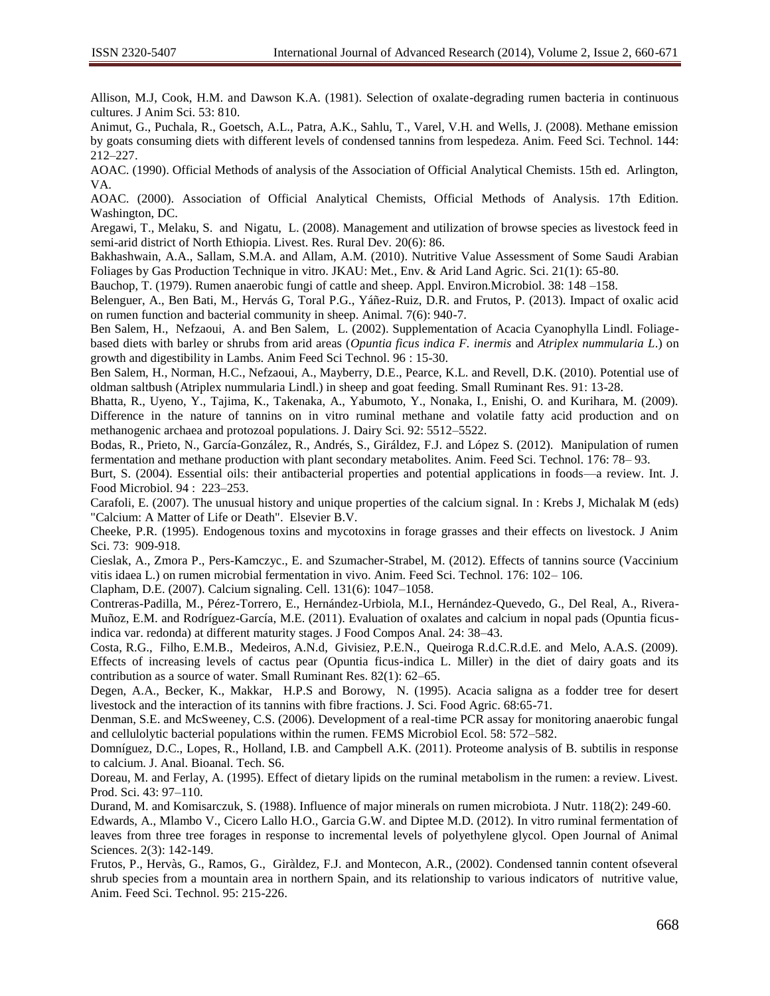Allison, M.J, Cook, H.M. and Dawson K.A. (1981). Selection of oxalate-degrading rumen bacteria in continuous cultures. J Anim Sci. 53: 810.

Animut, G., Puchala, R., Goetsch, A.L., Patra, A.K., Sahlu, T., Varel, V.H. and Wells, J. (2008). Methane emission by goats consuming diets with different levels of condensed tannins from lespedeza. Anim. Feed Sci. Technol. 144: 212–227.

AOAC. (1990). Official Methods of analysis of the Association of Official Analytical Chemists. 15th ed. Arlington, VA.

AOAC. (2000). Association of Official Analytical Chemists, Official Methods of Analysis. 17th Edition. Washington, DC.

Aregawi, T., Melaku, S. and Nigatu, L. (2008). Management and utilization of browse species as livestock feed in semi-arid district of North Ethiopia. Livest. Res. Rural Dev. 20(6): 86.

Bakhashwain, A.A., Sallam, S.M.A. and Allam, A.M. (2010). Nutritive Value Assessment of Some Saudi Arabian Foliages by Gas Production Technique in vitro. JKAU: Met., Env. & Arid Land Agric. Sci. 21(1): 65-80.

Bauchop, T. (1979). Rumen anaerobic fungi of cattle and sheep. Appl. Environ.Microbiol. 38: 148 –158.

Belenguer, A., Ben Bati, M., Hervás G, Toral P.G., Yáñez-Ruiz, D.R. and Frutos, P. (2013). Impact of oxalic acid on rumen function and bacterial community in sheep. Animal. 7(6): 940-7.

Ben Salem, H., Nefzaoui, A. and Ben Salem, L. (2002). Supplementation of Acacia Cyanophylla Lindl. Foliagebased diets with barley or shrubs from arid areas (*Opuntia ficus indica F. inermis* and *Atriplex nummularia L*.) on growth and digestibility in Lambs. Anim Feed Sci Technol. 96 : 15-30.

Ben Salem, H., Norman, H.C., Nefzaoui, A., Mayberry, D.E., [Pearce, K.L.](http://researchrepository.murdoch.edu.au/view/author/Pearce,%20Kelly.html) and Revell, D.K. (2010). Potential use of oldman saltbush (Atriplex nummularia Lindl.) in sheep and goat feeding. Small Ruminant Res. 91: 13-28.

Bhatta, R., Uyeno, Y., Tajima, K., Takenaka, A., Yabumoto, Y., Nonaka, I., Enishi, O. and Kurihara, M. (2009). Difference in the nature of tannins on in vitro ruminal methane and volatile fatty acid production and on methanogenic archaea and protozoal populations. J. Dairy Sci. 92: 5512–5522.

Bodas, R., Prieto, N., García-González, R., Andrés, S., Giráldez, F.J. and López S. (2012). Manipulation of rumen fermentation and methane production with plant secondary metabolites. Anim. Feed Sci. Technol. 176: 78– 93.

Burt, S. (2004). Essential oils: their antibacterial properties and potential applications in foods—a review. Int. J. Food Microbiol. 94 : 223–253.

Carafoli, E. (2007). The unusual history and unique properties of the calcium signal. In : Krebs J, Michalak M (eds) "Calcium: A Matter of Life or Death". Elsevier B.V.

Cheeke, P.R. (1995). Endogenous toxins and mycotoxins in forage grasses and their effects on livestock. J Anim Sci. 73: 909-918.

Cieslak, A., Zmora P., Pers-Kamczyc., E. and Szumacher-Strabel, M. (2012). Effects of tannins source (Vaccinium vitis idaea L.) on rumen microbial fermentation in vivo. Anim. Feed Sci. Technol. 176: 102– 106.

Clapham, D.E. (2007). Calcium signaling. Cell. 131(6): 1047–1058.

Contreras-Padilla, M., Pérez-Torrero, E., Hernández-Urbiola, M.I., Hernández-Quevedo, G., Del Real, A., Rivera-Muñoz, E.M. and Rodríguez-García, M.E. (2011). Evaluation of oxalates and calcium in nopal pads (Opuntia ficusindica var. redonda) at different maturity stages. J Food Compos Anal. 24: 38–43.

Costa, R.G., Filho, E.M.B., Medeiros, A.N.d, Givisiez, P.E.N., Queiroga R.d.C.R.d.E. and Melo, A.A.S. (2009). Effects of increasing levels of cactus pear (Opuntia ficus-indica L. Miller) in the diet of dairy goats and its contribution as a source of water. Small Ruminant Res. 82(1): 62–65.

Degen, A.A., Becker, K., Makkar, H.P.S and Borowy, N. (1995). Acacia saligna as a fodder tree for desert livestock and the interaction of its tannins with fibre fractions. J. Sci. Food Agric. 68:65-71.

Denman, S.E. and McSweeney, C.S. (2006). Development of a real-time PCR assay for monitoring anaerobic fungal and cellulolytic bacterial populations within the rumen. FEMS Microbiol Ecol. 58: 572–582.

Domníguez, D.C., Lopes, R., Holland, I.B. and Campbell A.K. (2011). Proteome analysis of B. subtilis in response to calcium. J. Anal. Bioanal. Tech. S6.

Doreau, M. and Ferlay, A. (1995). Effect of dietary lipids on the ruminal metabolism in the rumen: a review. Livest. Prod. Sci. 43: 97–110.

Durand, M. and Komisarczuk, S. (1988). Influence of major minerals on rumen microbiota. J Nutr. 118(2): 249-60.

Edwards, A., Mlambo V., Cicero Lallo H.O., Garcia G.W. and Diptee M.D. (2012). In vitro ruminal fermentation of leaves from three tree forages in response to incremental levels of polyethylene glycol. Open Journal of Animal Sciences. 2(3): 142-149.

Frutos, P., Hervàs, G., Ramos, G., Giràldez, F.J. and Montecon, A.R., (2002). Condensed tannin content ofseveral shrub species from a mountain area in northern Spain, and its relationship to various indicators of nutritive value, Anim. Feed Sci. Technol. 95: 215-226.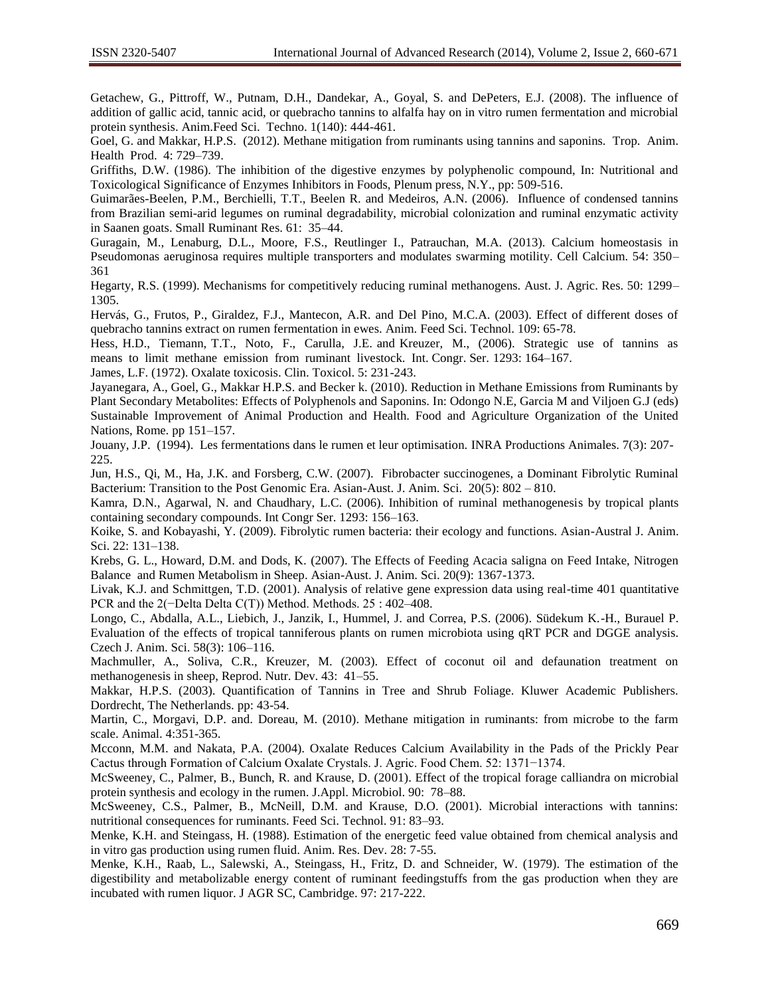Getachew, G., Pittroff, W., Putnam, D.H., Dandekar, A., Goyal, S. and DePeters, E.J. (2008). The influence of addition of gallic acid, tannic acid, or quebracho tannins to alfalfa hay on in vitro rumen fermentation and microbial protein synthesis. Anim.Feed Sci. Techno. 1(140): 444-461.

Goel, G. and Makkar, H.P.S. (2012). Methane mitigation from ruminants using tannins and saponins. Trop. Anim. Health Prod. 4: 729–739.

Griffiths, D.W. (1986). The inhibition of the digestive enzymes by polyphenolic compound, In: Nutritional and Toxicological Significance of Enzymes Inhibitors in Foods, Plenum press, N.Y., pp: 509-516.

Guimarães-Beelen, P.M., Berchielli, T.T., Beelen R. and Medeiros, A.N. (2006). Influence of condensed tannins from Brazilian semi-arid legumes on ruminal degradability, microbial colonization and ruminal enzymatic activity in Saanen goats. Small Ruminant Res. 61: 35–44.

Guragain, M., Lenaburg, D.L., Moore, F.S., Reutlinger I., Patrauchan, M.A. (2013). Calcium homeostasis in Pseudomonas aeruginosa requires multiple transporters and modulates swarming motility. Cell Calcium. 54: 350– 361

Hegarty, R.S. (1999). Mechanisms for competitively reducing ruminal methanogens. Aust. J. Agric. Res. 50: 1299– 1305.

Hervás, G., Frutos, P., Giraldez, F.J., Mantecon, A.R. and Del Pino, M.C.A. (2003). Effect of different doses of quebracho tannins extract on rumen fermentation in ewes. Anim. Feed Sci. Technol. 109: 65-78.

Hess, H.D., Tiemann, T.T., Noto, F., Carulla, J.E. and Kreuzer, M., (2006). Strategic use of tannins as means to limit methane emission from ruminant livestock. Int. Congr. Ser. 1293: 164–167.

James, L.F. (1972). Oxalate toxicosis. Clin. Toxicol. 5: 231-243.

Jayanegara, A., Goel, G., Makkar H.P.S. and Becker k. (2010). Reduction in Methane Emissions from Ruminants by Plant Secondary Metabolites: Effects of Polyphenols and Saponins. In: Odongo N.E, Garcia M and Viljoen G.J (eds) Sustainable Improvement of Animal Production and Health. Food and Agriculture Organization of the United Nations, Rome. pp 151–157.

Jouany, J.P. (1994). Les fermentations dans le rumen et leur optimisation. INRA Productions Animales. 7(3): 207- 225.

Jun, H.S., Qi, M., Ha, J.K. and Forsberg, C.W. (2007). Fibrobacter succinogenes, a Dominant Fibrolytic Ruminal Bacterium: Transition to the Post Genomic Era. Asian-Aust. J. Anim. Sci. 20(5): 802 – 810.

Kamra, D.N., Agarwal, N. and Chaudhary, L.C. (2006). Inhibition of ruminal methanogenesis by tropical plants containing secondary compounds. Int Congr Ser. 1293: 156–163.

Koike, S. and Kobayashi, Y. (2009). Fibrolytic rumen bacteria: their ecology and functions. Asian-Austral J. Anim. Sci. 22: 131–138.

Krebs, G. L., Howard, D.M. and Dods, K. (2007). The Effects of Feeding Acacia saligna on Feed Intake, Nitrogen Balance and Rumen Metabolism in Sheep. Asian-Aust. J. Anim. Sci. 20(9): 1367-1373.

Livak, K.J. and Schmittgen, T.D. (2001). Analysis of relative gene expression data using real-time 401 quantitative PCR and the 2(−Delta Delta C(T)) Method. Methods. 25 : 402–408.

Longo, C., Abdalla, A.L., Liebich, J., Janzik, I., Hummel, J. and Correa, P.S. (2006). Südekum K.-H., Burauel P. Evaluation of the effects of tropical tanniferous plants on rumen microbiota using qRT PCR and DGGE analysis. Czech J. Anim. Sci. 58(3): 106–116.

Machmuller, A., Soliva, C.R., Kreuzer, M. (2003). Effect of coconut oil and defaunation treatment on methanogenesis in sheep, Reprod. Nutr. Dev. 43: 41–55.

Makkar, H.P.S. (2003). Quantification of Tannins in Tree and Shrub Foliage. Kluwer Academic Publishers. Dordrecht, The Netherlands. pp: 43-54.

Martin, C., Morgavi, D.P. and. Doreau, M. (2010). Methane mitigation in ruminants: from microbe to the farm scale. Animal. 4:351-365.

Mcconn, M.M. and Nakata, P.A. (2004). Oxalate Reduces Calcium Availability in the Pads of the Prickly Pear Cactus through Formation of Calcium Oxalate Crystals. J. Agric. Food Chem. 52: 1371−1374.

McSweeney, C., Palmer, B., Bunch, R. and Krause, D. (2001). Effect of the tropical forage calliandra on microbial protein synthesis and ecology in the rumen. J.Appl. Microbiol. 90: 78–88.

McSweeney, C.S., Palmer, B., McNeill, D.M. and Krause, D.O. (2001). Microbial interactions with tannins: nutritional consequences for ruminants. Feed Sci. Technol. 91: 83–93.

Menke, K.H. and Steingass, H. (1988). Estimation of the energetic feed value obtained from chemical analysis and in vitro gas production using rumen fluid. Anim. Res. Dev. 28: 7-55.

Menke, K.H., Raab, L., Salewski, A., Steingass, H., Fritz, D. and Schneider, W. (1979). The estimation of the digestibility and metabolizable energy content of ruminant feedingstuffs from the gas production when they are incubated with rumen liquor. J AGR SC, Cambridge. 97: 217-222.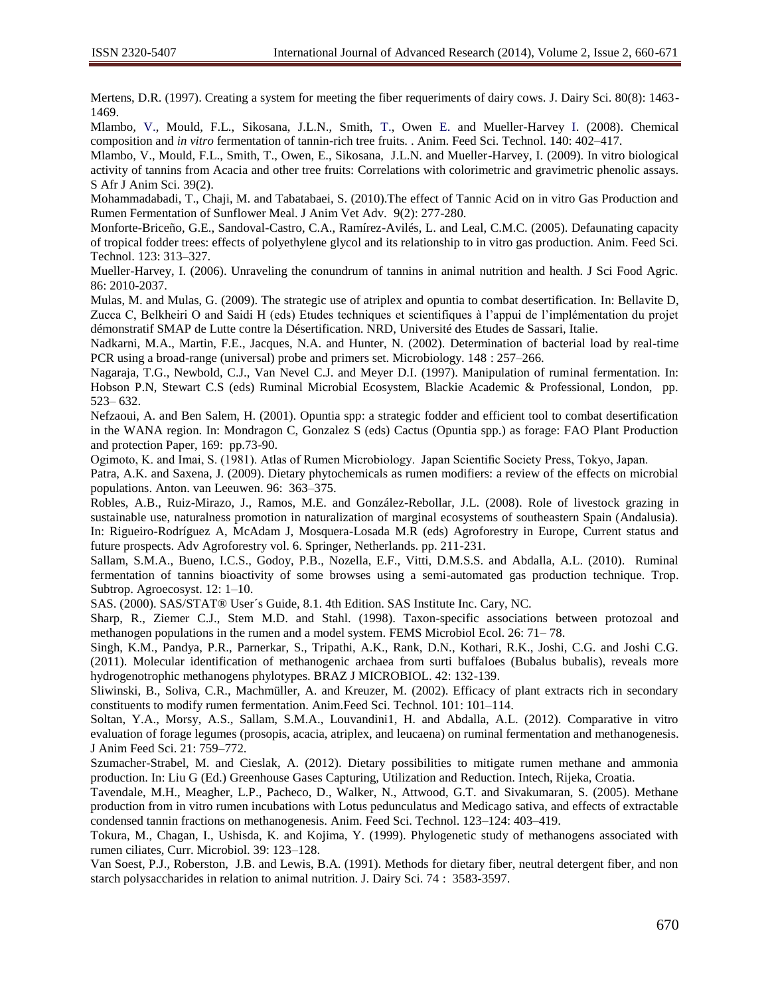Mertens, D.R. (1997). Creating a system for meeting the fiber requeriments of dairy cows. J. Dairy Sci. 80(8): 1463- 1469.

Mlambo*,* V., Mould, F.L., Sikosana, J.L.N., Smith, T., Owen E. and Mueller-Harvey I. (2008). Chemical composition and *in vitro* fermentation of tannin-rich tree fruits. . Anim. Feed Sci. Technol. 140: 402–417.

Mlambo, V., Mould, F.L., Smith, T., Owen, E., Sikosana, J.L.N. and Mueller-Harvey, I. (2009). In vitro biological activity of tannins from Acacia and other tree fruits: Correlations with colorimetric and gravimetric phenolic assays. S Afr J Anim Sci. 39(2).

Mohammadabadi, T., Chaji, M. and Tabatabaei, S. (2010).The effect of Tannic Acid on in vitro Gas Production and Rumen Fermentation of Sunflower Meal. J Anim Vet Adv. 9(2): 277-280.

Monforte-Briceño, G.E., Sandoval-Castro, C.A., Ramírez-Avilés, L. and Leal, C.M.C. (2005). Defaunating capacity of tropical fodder trees: effects of polyethylene glycol and its relationship to in vitro gas production. Anim. Feed Sci. Technol. 123: 313–327.

Mueller-Harvey, I. (2006). Unraveling the conundrum of tannins in animal nutrition and health. J Sci Food Agric. 86: 2010-2037.

Mulas, M. and Mulas, G. (2009). The strategic use of atriplex and opuntia to combat desertification. In: Bellavite D, Zucca C, Belkheiri O and Saidi H (eds) Etudes techniques et scientifiques à l'appui de l'implémentation du projet démonstratif SMAP de Lutte contre la Désertification. NRD, Université des Etudes de Sassari, Italie.

Nadkarni, M.A., Martin, F.E., Jacques, N.A. and Hunter, N. (2002). Determination of bacterial load by real-time PCR using a broad-range (universal) probe and primers set. Microbiology. 148 : 257–266.

Nagaraja, T.G., Newbold, C.J., Van Nevel C.J. and Meyer D.I. (1997). Manipulation of ruminal fermentation. In: Hobson P.N, Stewart C.S (eds) Ruminal Microbial Ecosystem, Blackie Academic & Professional, London, pp. 523– 632.

Nefzaoui, A. and Ben Salem, H. (2001). Opuntia spp: a strategic fodder and efficient tool to combat desertification in the WANA region. In: Mondragon C, Gonzalez S (eds) Cactus (Opuntia spp.) as forage: FAO Plant Production and protection Paper, 169: pp.73-90.

Ogimoto, K. and Imai, S. (1981). Atlas of Rumen Microbiology. Japan Scientific Society Press, Tokyo, Japan.

Patra, A.K. and Saxena, J. (2009). Dietary phytochemicals as rumen modifiers: a review of the effects on microbial populations. Anton. van Leeuwen. 96: 363–375.

Robles, A.B., Ruiz-Mirazo, J., Ramos, M.E. and González-Rebollar, J.L. (2008). Role of livestock grazing in sustainable use, naturalness promotion in naturalization of marginal ecosystems of southeastern Spain (Andalusia). In: Rigueiro-Rodríguez A, McAdam J, Mosquera-Losada M.R (eds) Agroforestry in Europe, Current status and future prospects. Adv Agroforestry vol. 6. Springer, Netherlands. pp. 211-231.

Sallam, S.M.A., Bueno, I.C.S., Godoy, P.B., Nozella, E.F., Vitti, D.M.S.S. and Abdalla, A.L. (2010). Ruminal fermentation of tannins bioactivity of some browses using a semi-automated gas production technique. Trop. Subtrop. Agroecosyst. 12: 1–10.

SAS. (2000). SAS/STAT® User´s Guide, 8.1. 4th Edition. SAS Institute Inc. Cary, NC.

Sharp, R., Ziemer C.J., Stem M.D. and Stahl. (1998). Taxon-specific associations between protozoal and methanogen populations in the rumen and a model system. FEMS Microbiol Ecol. 26: 71– 78.

Singh, K.M., Pandya, P.R., Parnerkar, S., Tripathi, A.K., Rank, D.N., Kothari, R.K., Joshi, C.G. and Joshi C.G. (2011). Molecular identification of methanogenic archaea from surti buffaloes (Bubalus bubalis), reveals more hydrogenotrophic methanogens phylotypes. BRAZ J MICROBIOL. 42: 132-139.

Sliwinski, B., Soliva, C.R., Machmüller, A. and Kreuzer, M. (2002). Efficacy of plant extracts rich in secondary constituents to modify rumen fermentation. Anim.Feed Sci. Technol. 101: 101–114.

Soltan, Y.A., Morsy, A.S., Sallam, S.M.A., Louvandini1, H. and Abdalla, A.L. (2012). Comparative in vitro evaluation of forage legumes (prosopis, acacia, atriplex, and leucaena) on ruminal fermentation and methanogenesis. J Anim Feed Sci. 21: 759–772.

Szumacher-Strabel, M. and Cieslak, A. (2012). Dietary possibilities to mitigate rumen methane and ammonia production. In: Liu G (Ed.) Greenhouse Gases Capturing, Utilization and Reduction. Intech, Rijeka, Croatia.

Tavendale, M.H., Meagher, L.P., Pacheco, D., Walker, N., Attwood, G.T. and Sivakumaran, S. (2005). Methane production from in vitro rumen incubations with Lotus pedunculatus and Medicago sativa, and effects of extractable condensed tannin fractions on methanogenesis. Anim. Feed Sci. Technol. 123–124: 403–419.

Tokura, M., Chagan, I., Ushisda, K. and Kojima, Y. (1999). Phylogenetic study of methanogens associated with rumen ciliates, Curr. Microbiol. 39: 123–128.

Van Soest, P.J., Roberston, J.B. and Lewis, B.A. (1991). Methods for dietary fiber, neutral detergent fiber, and non starch polysaccharides in relation to animal nutrition. J. Dairy Sci. 74 : 3583-3597.